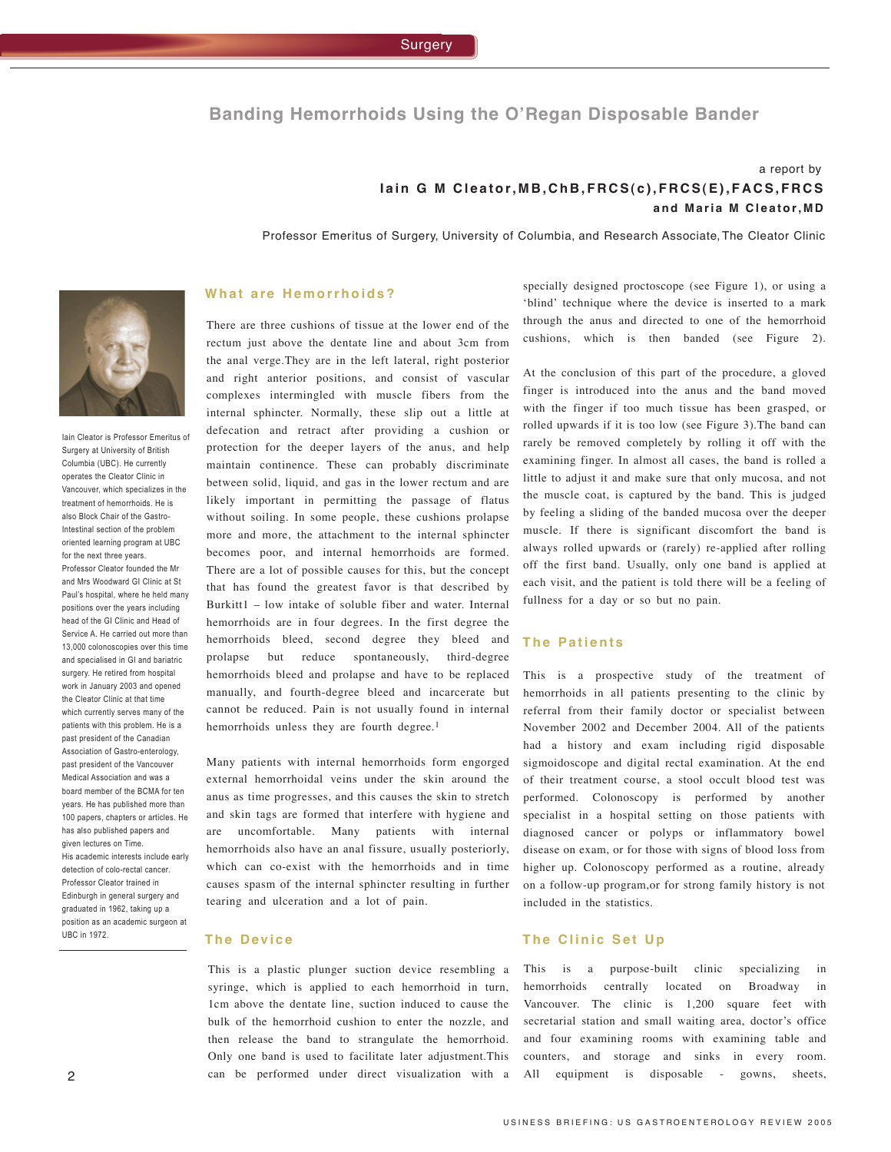# **Banding Hemorrhoids Using the O'Regan Disposable Bander**

# a report by lain G M Cleator, MB, ChB, FRCS(c), FRCS(E), FACS, FRCS and Maria M Cleator, MD

Professor Emeritus of Surgery, University of Columbia, and Research Associate, The Cleator Clinic



Iain Cleator is Professor Emeritus of Surgery at University of British Columbia (UBC). He currently operates the Cleator Clinic in Vancouver, which specializes in the treatment of hemorrhoids. He is also Block Chair of the Gastro-Intestinal section of the problem oriented learning program at UBC for the next three years. Professor Cleator founded the Mr and Mrs Woodward GI Clinic at St Paul's hospital, where he held many positions over the years including head of the GI Clinic and Head of Service A. He carried out more than 13,000 colonoscopies over this time and specialised in GI and bariatric surgery. He retired from hospital work in January 2003 and opened the Cleator Clinic at that time which currently serves many of the patients with this problem. He is a past president of the Canadian Association of Gastro-enterology, past president of the Vancouver Medical Association and was a board member of the BCMA for ten years. He has published more than 100 papers, chapters or articles. He has also published papers and given lectures on Time. His academic interests include early detection of colo-rectal cancer. Professor Cleator trained in Edinburgh in general surgery and graduated in 1962, taking up a position as an academic surgeon at UBC in 1972.

### **W h a t a re H e m o r r h o i d s ?**

There are three cushions of tissue at the lower end of the rectum just above the dentate line and about 3cm from the anal verge.They are in the left lateral, right posterior and right anterior positions, and consist of vascular complexes intermingled with muscle fibers from the internal sphincter. Normally, these slip out a little at defecation and retract after providing a cushion or protection for the deeper layers of the anus, and help maintain continence. These can probably discriminate between solid, liquid, and gas in the lower rectum and are likely important in permitting the passage of flatus without soiling. In some people, these cushions prolapse more and more, the attachment to the internal sphincter becomes poor, and internal hemorrhoids are formed. There are a lot of possible causes for this, but the concept that has found the greatest favor is that described by Burkitt1 – low intake of soluble fiber and water. Internal hemorrhoids are in four degrees. In the first degree the hemorrhoids bleed, second degree they bleed and prolapse but reduce spontaneously, third-degree hemorrhoids bleed and prolapse and have to be replaced manually, and fourth-degree bleed and incarcerate but cannot be reduced. Pain is not usually found in internal hemorrhoids unless they are fourth degree.<sup>1</sup>

Many patients with internal hemorrhoids form engorged external hemorrhoidal veins under the skin around the anus as time progresses, and this causes the skin to stretch and skin tags are formed that interfere with hygiene and are uncomfortable. Many patients with internal hemorrhoids also have an anal fissure, usually posteriorly, which can co-exist with the hemorrhoids and in time causes spasm of the internal sphincter resulting in further tearing and ulceration and a lot of pain.

#### **T h e D ev i c e**

This is a plastic plunger suction device resembling a syringe, which is applied to each hemorrhoid in turn, 1cm above the dentate line, suction induced to cause the bulk of the hemorrhoid cushion to enter the nozzle, and then release the band to strangulate the hemorrhoid. Only one band is used to facilitate later adjustment.This can be performed under direct visualization with a specially designed proctoscope (see Figure 1), or using a 'blind' technique where the device is inserted to a mark through the anus and directed to one of the hemorrhoid cushions, which is then banded (see Figure 2).

At the conclusion of this part of the procedure, a gloved finger is introduced into the anus and the band moved with the finger if too much tissue has been grasped, or rolled upwards if it is too low (see Figure 3).The band can rarely be removed completely by rolling it off with the examining finger. In almost all cases, the band is rolled a little to adjust it and make sure that only mucosa, and not the muscle coat, is captured by the band. This is judged by feeling a sliding of the banded mucosa over the deeper muscle. If there is significant discomfort the band is always rolled upwards or (rarely) re-applied after rolling off the first band. Usually, only one band is applied at each visit, and the patient is told there will be a feeling of fullness for a day or so but no pain.

## **The Patients**

This is a prospective study of the treatment of hemorrhoids in all patients presenting to the clinic by referral from their family doctor or specialist between November 2002 and December 2004. All of the patients had a history and exam including rigid disposable sigmoidoscope and digital rectal examination. At the end of their treatment course, a stool occult blood test was performed. Colonoscopy is performed by another specialist in a hospital setting on those patients with diagnosed cancer or polyps or inflammatory bowel disease on exam, or for those with signs of blood loss from higher up. Colonoscopy performed as a routine, already on a follow-up program,or for strong family history is not included in the statistics.

#### $T$ **he Clinic Set Up**

This is a purpose-built clinic specializing in hemorrhoids centrally located on Broadway in Vancouver. The clinic is 1,200 square feet with secretarial station and small waiting area, doctor's office and four examining rooms with examining table and counters, and storage and sinks in every room. All equipment is disposable - gowns, sheets,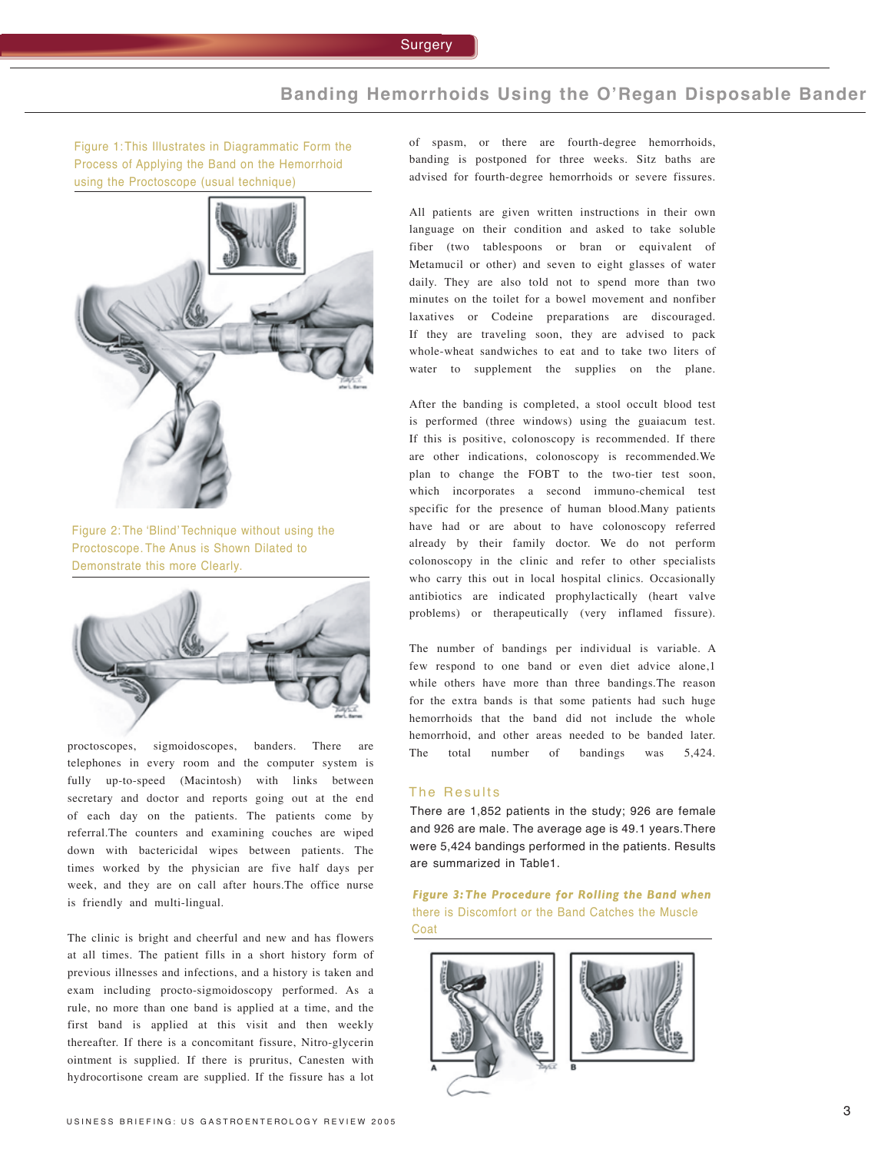# **Banding Hemorrhoids Using the O'Regan Disposable Bander**

Figure 1: This Illustrates in Diagrammatic Form the Process of Applying the Band on the Hemorrhoid using the Proctoscope (usual technique)



Figure 2: The 'Blind' Technique without using the Proctoscope. The Anus is Shown Dilated to Demonstrate this more Clearly.



proctoscopes, sigmoidoscopes, banders. There are telephones in every room and the computer system is fully up-to-speed (Macintosh) with links between secretary and doctor and reports going out at the end of each day on the patients. The patients come by referral.The counters and examining couches are wiped down with bactericidal wipes between patients. The times worked by the physician are five half days per week, and they are on call after hours.The office nurse is friendly and multi-lingual.

The clinic is bright and cheerful and new and has flowers at all times. The patient fills in a short history form of previous illnesses and infections, and a history is taken and exam including procto-sigmoidoscopy performed. As a rule, no more than one band is applied at a time, and the first band is applied at this visit and then weekly thereafter. If there is a concomitant fissure, Nitro-glycerin ointment is supplied. If there is pruritus, Canesten with hydrocortisone cream are supplied. If the fissure has a lot of spasm, or there are fourth-degree hemorrhoids, banding is postponed for three weeks. Sitz baths are advised for fourth-degree hemorrhoids or severe fissures.

All patients are given written instructions in their own language on their condition and asked to take soluble fiber (two tablespoons or bran or equivalent of Metamucil or other) and seven to eight glasses of water daily. They are also told not to spend more than two minutes on the toilet for a bowel movement and nonfiber laxatives or Codeine preparations are discouraged. If they are traveling soon, they are advised to pack whole-wheat sandwiches to eat and to take two liters of water to supplement the supplies on the plane.

After the banding is completed, a stool occult blood test is performed (three windows) using the guaiacum test. If this is positive, colonoscopy is recommended. If there are other indications, colonoscopy is recommended.We plan to change the FOBT to the two-tier test soon, which incorporates a second immuno-chemical test specific for the presence of human blood.Many patients have had or are about to have colonoscopy referred already by their family doctor. We do not perform colonoscopy in the clinic and refer to other specialists who carry this out in local hospital clinics. Occasionally antibiotics are indicated prophylactically (heart valve problems) or therapeutically (very inflamed fissure).

The number of bandings per individual is variable. A few respond to one band or even diet advice alone,1 while others have more than three bandings.The reason for the extra bands is that some patients had such huge hemorrhoids that the band did not include the whole hemorrhoid, and other areas needed to be banded later. The total number of bandings was 5,424.

### The Results

There are 1,852 patients in the study; 926 are female and 926 are male. The average age is 49.1 years.There were 5,424 bandings performed in the patients. Results are summarized in Table1.

*Figure 3:The Procedure for Rolling the Band when* there is Discomfort or the Band Catches the Muscle Coat

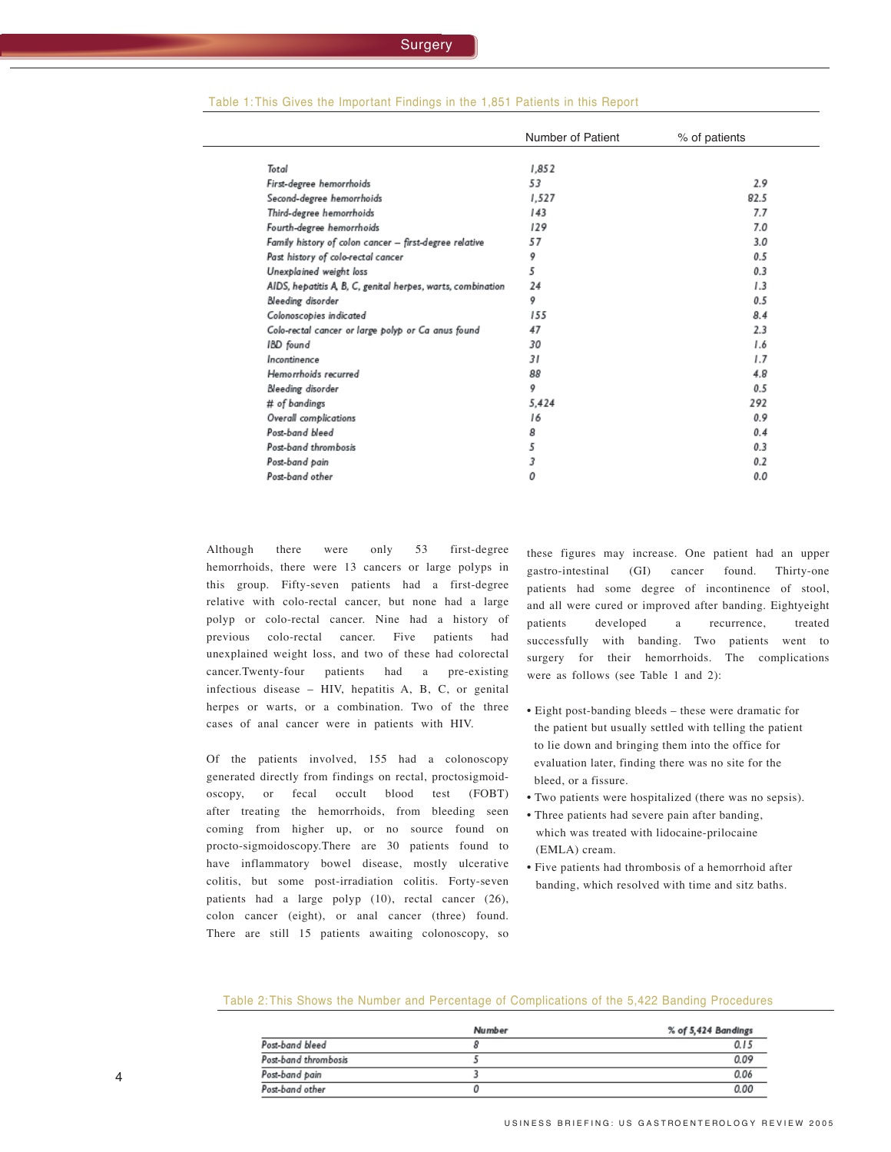|                                                             | Number of Patient | % of patients |
|-------------------------------------------------------------|-------------------|---------------|
| Total                                                       | 1,852             |               |
| First-degree hemorrhoids                                    | 53                | 2.9           |
| Second-degree hemorrhoids                                   | 1,527             | 82.5          |
| Third-degree hemorrhoids                                    | 143               | 7.7           |
| Fourth-degree hemorrhoids                                   | 129               | 7.0           |
| Family history of colon cancer - first-degree relative      | 57                | 3.0           |
| Past history of colo-rectal cancer                          | 9                 | 0.5           |
| Unexplained weight loss                                     | 5                 | 0.3           |
| AIDS, hepatitis A, B, C, genital herpes, warts, combination | 24                | 1.3           |
| Bleeding disorder                                           | 9                 | 0.5           |
| Colonoscopies indicated                                     | 155               | 8.4           |
| Colo-rectal cancer or large polyp or Ca anus found          | 47                | 2.3           |
| IBD found                                                   | 30                | 1.6           |
| Incontinence                                                | 31                | 1.7           |
| Hemorrhoids recurred                                        | 88                | 4.8           |
| Bleeding disorder                                           | 9                 | 0.5           |
| # of bandings                                               | 5,424             | 292           |
| Overall complications                                       | 16                | 0.9           |
| Post-band bleed                                             | 8                 | 0.4           |
| Post-band thrombosis                                        | 5                 | 0.3           |
| Post-band pain                                              | 3                 | 0.2           |
| Post-band other                                             | 0                 | 0.0           |
|                                                             |                   |               |

#### Table 1: This Gives the Important Findings in the 1,851 Patients in this Report

Although there were only 53 first-degree hemorrhoids, there were 13 cancers or large polyps in this group. Fifty-seven patients had a first-degree relative with colo-rectal cancer, but none had a large polyp or colo-rectal cancer. Nine had a history of previous colo-rectal cancer. Five patients had unexplained weight loss, and two of these had colorectal cancer.Twenty-four patients had a pre-existing infectious disease – HIV, hepatitis A, B, C, or genital herpes or warts, or a combination. Two of the three cases of anal cancer were in patients with HIV.

Of the patients involved, 155 had a colonoscopy generated directly from findings on rectal, proctosigmoidoscopy, or fecal occult blood test (FOBT) after treating the hemorrhoids, from bleeding seen coming from higher up, or no source found on procto-sigmoidoscopy.There are 30 patients found to have inflammatory bowel disease, mostly ulcerative colitis, but some post-irradiation colitis. Forty-seven patients had a large polyp (10), rectal cancer (26), colon cancer (eight), or anal cancer (three) found. There are still 15 patients awaiting colonoscopy, so these figures may increase. One patient had an upper gastro-intestinal (GI) cancer found. Thirty-one patients had some degree of incontinence of stool, and all were cured or improved after banding. Eightyeight patients developed a recurrence, treated successfully with banding. Two patients went to surgery for their hemorrhoids. The complications were as follows (see Table 1 and 2):

- Eight post-banding bleeds these were dramatic for the patient but usually settled with telling the patient to lie down and bringing them into the office for evaluation later, finding there was no site for the bleed, or a fissure.
- Two patients were hospitalized (there was no sepsis).
- Three patients had severe pain after banding, which was treated with lidocaine-prilocaine (EMLA) cream.
- Five patients had thrombosis of a hemorrhoid after banding, which resolved with time and sitz baths.

Table 2: This Shows the Number and Percentage of Complications of the 5,422 Banding Procedures

|                      | Number | % of 5,424 Bandings |
|----------------------|--------|---------------------|
| Post-band bleed      |        | 0.15                |
| Post-band thrombosis |        | 0.09                |
| Post-band pain       |        | 0.06                |
| Post-band other      |        | 0.00                |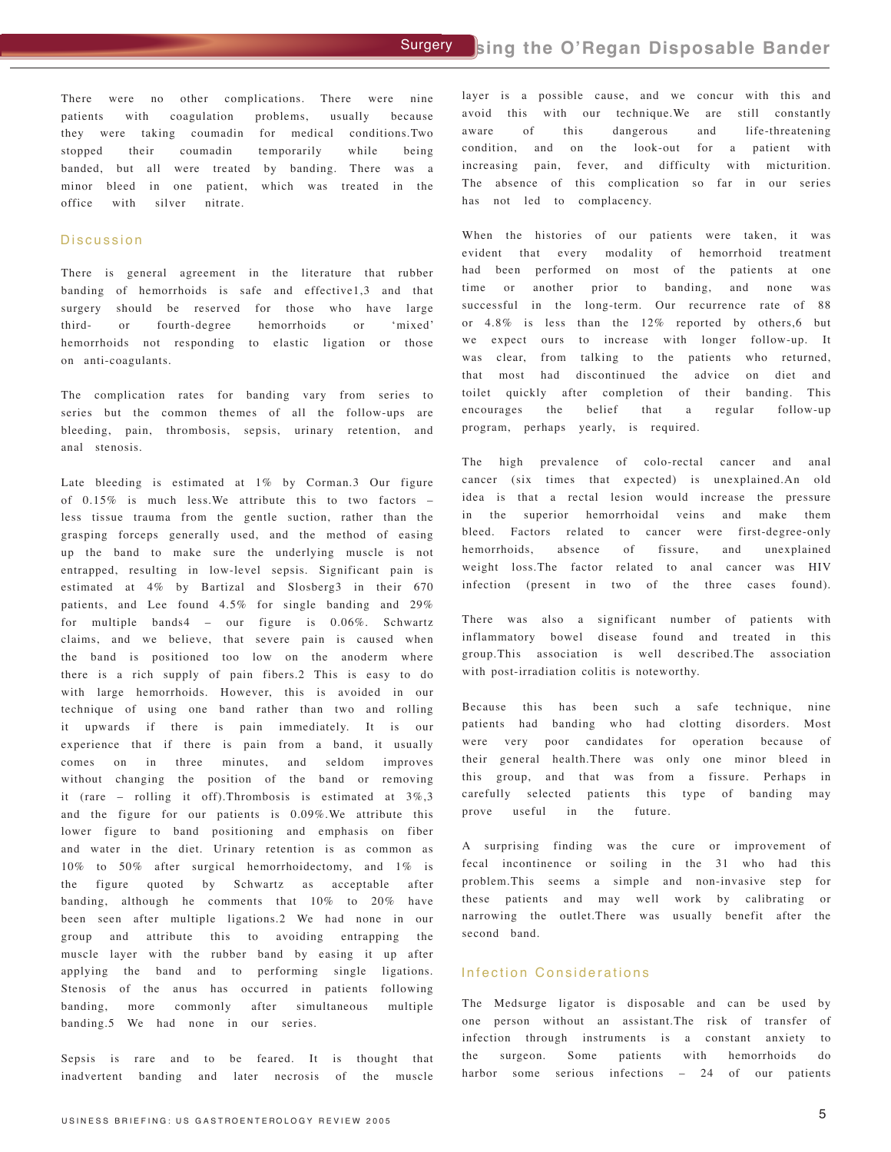There were no other complications. There were nine patients with coagulation problems, usually because they were taking coumadin for medical conditions.Two stopped their coumadin temporarily while being banded, but all were treated by banding. There was a minor bleed in one patient, which was treated in the office with silver nitrate.

## Discussion

There is general agreement in the literature that rubber banding of hemorrhoids is safe and effective1,3 and that surgery should be reserved for those who have large third- or fourth-degree hemorrhoids or 'mixed' hemorrhoids not responding to elastic ligation or those on anti-coagulants.

The complication rates for banding vary from series to series but the common themes of all the follow-ups are bleeding, pain, thrombosis, sepsis, urinary retention, and anal stenosis.

Late bleeding is estimated at 1% by Corman.3 Our figure of 0.15% is much less.We attribute this to two factors – less tissue trauma from the gentle suction, rather than the grasping forceps generally used, and the method of easing up the band to make sure the underlying muscle is not entrapped, resulting in low-level sepsis. Significant pain is estimated at 4% by Bartizal and Slosberg3 in their 670 patients, and Lee found 4.5% for single banding and 29% for multiple bands4 – our figure is 0.06%. Schwartz claims, and we believe, that severe pain is caused when the band is positioned too low on the anoderm where there is a rich supply of pain fibers.2 This is easy to do with large hemorrhoids. However, this is avoided in our technique of using one band rather than two and rolling it upwards if there is pain immediately. It is our experience that if there is pain from a band, it usually comes on in three minutes, and seldom improves without changing the position of the band or removing it (rare – rolling it off).Thrombosis is estimated at 3%,3 and the figure for our patients is 0.09%.We attribute this lower figure to band positioning and emphasis on fiber and water in the diet. Urinary retention is as common as 10% to 50% after surgical hemorrhoidectomy, and 1% is the figure quoted by Schwartz as acceptable after banding, although he comments that 10% to 20% have been seen after multiple ligations.2 We had none in our group and attribute this to avoiding entrapping the muscle layer with the rubber band by easing it up after applying the band and to performing single ligations. Stenosis of the anus has occurred in patients following banding, more commonly after simultaneous multiple banding.5 We had none in our series.

Sepsis is rare and to be feared. It is thought that inadvertent banding and later necrosis of the muscle

layer is a possible cause, and we concur with this and avoid this with our technique.We are still constantly aware of this dangerous and life-threatening condition, and on the look-out for a patient with increasing pain, fever, and difficulty with micturition. The absence of this complication so far in our series has not led to complacency.

When the histories of our patients were taken, it was evident that every modality of hemorrhoid treatment had been performed on most of the patients at one time or another prior to banding, and none was successful in the long-term. Our recurrence rate of 88 or 4.8% is less than the 12% reported by others,6 but we expect ours to increase with longer follow-up. It was clear, from talking to the patients who returned, that most had discontinued the advice on diet and toilet quickly after completion of their banding. This encourages the belief that a regular follow-up program, perhaps yearly, is required.

The high prevalence of colo-rectal cancer and anal cancer (six times that expected) is unexplained.An old idea is that a rectal lesion would increase the pressure in the superior hemorrhoidal veins and make them bleed. Factors related to cancer were first-degree-only hemorrhoids, absence of fissure, and unexplained weight loss.The factor related to anal cancer was HIV infection (present in two of the three cases found).

There was also a significant number of patients with inflammatory bowel disease found and treated in this group.This association is well described.The association with post-irradiation colitis is noteworthy.

Because this has been such a safe technique, nine patients had banding who had clotting disorders. Most were very poor candidates for operation because of their general health.There was only one minor bleed in this group, and that was from a fissure. Perhaps in carefully selected patients this type of banding may prove useful in the future.

A surprising finding was the cure or improvement of fecal incontinence or soiling in the 31 who had this problem.This seems a simple and non-invasive step for these patients and may well work by calibrating or narrowing the outlet.There was usually benefit after the second band.

## Infection Considerations

The Medsurge ligator is disposable and can be used by one person without an assistant.The risk of transfer of infection through instruments is a constant anxiety to the surgeon. Some patients with hemorrhoids do harbor some serious infections - 24 of our patients